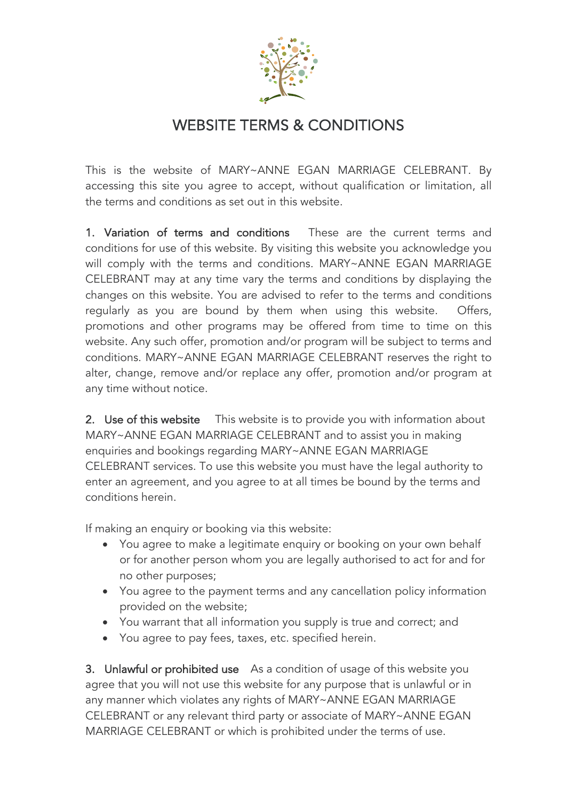

## WEBSITE TERMS & CONDITIONS

This is the website of MARY~ANNE EGAN MARRIAGE CELEBRANT. By accessing this site you agree to accept, without qualification or limitation, all the terms and conditions as set out in this website.

1. Variation of terms and conditions These are the current terms and conditions for use of this website. By visiting this website you acknowledge you will comply with the terms and conditions. MARY~ANNE EGAN MARRIAGE CELEBRANT may at any time vary the terms and conditions by displaying the changes on this website. You are advised to refer to the terms and conditions regularly as you are bound by them when using this website. Offers, promotions and other programs may be offered from time to time on this website. Any such offer, promotion and/or program will be subject to terms and conditions. MARY~ANNE EGAN MARRIAGE CELEBRANT reserves the right to alter, change, remove and/or replace any offer, promotion and/or program at any time without notice.

2. Use of this website Ihis website is to provide you with information about MARY~ANNE EGAN MARRIAGE CELEBRANT and to assist you in making enquiries and bookings regarding MARY~ANNE EGAN MARRIAGE CELEBRANT services. To use this website you must have the legal authority to enter an agreement, and you agree to at all times be bound by the terms and conditions herein.

If making an enquiry or booking via this website:

- You agree to make a legitimate enquiry or booking on your own behalf or for another person whom you are legally authorised to act for and for no other purposes;
- You agree to the payment terms and any cancellation policy information provided on the website;
- You warrant that all information you supply is true and correct; and
- You agree to pay fees, taxes, etc. specified herein.

3. Unlawful or prohibited use As a condition of usage of this website you agree that you will not use this website for any purpose that is unlawful or in any manner which violates any rights of MARY~ANNE EGAN MARRIAGE CELEBRANT or any relevant third party or associate of MARY~ANNE EGAN MARRIAGE CELEBRANT or which is prohibited under the terms of use.